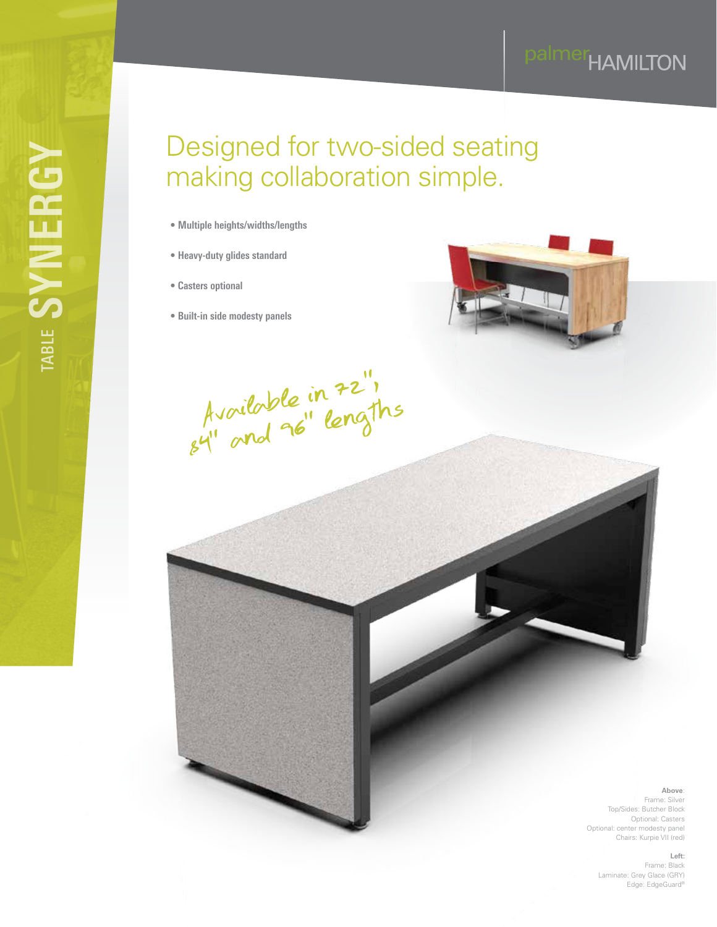# palmer<sub>HAMILTON</sub>

# Designed for two-sided seating making collaboration simple.

- **Multiple heights/widths/lengths**
- **Heavy-duty glides standard**
- **Casters optional**
- **Built-in side modesty panels**



Available in 72", Available inclusions

**Above**: Frame: Silver Top/Sides: Butcher Block Optional: Casters Optional: center modesty panel Chairs: Kurpie VII (red)

**Left:**

Frame: Black Laminate: Grey Glace (GRY) Edge: EdgeGuard®